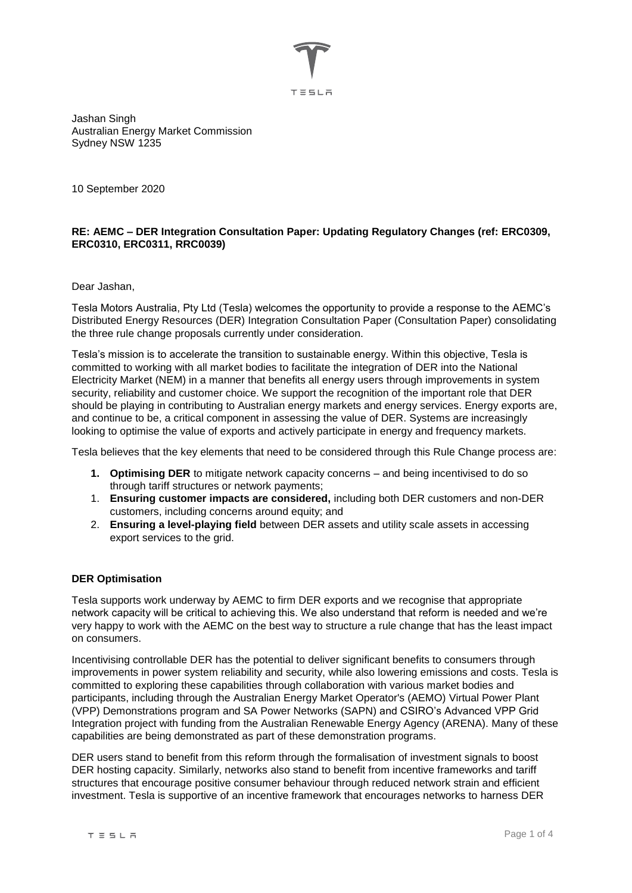

Jashan Singh Australian Energy Market Commission Sydney NSW 1235

10 September 2020

# **RE: AEMC – DER Integration Consultation Paper: Updating Regulatory Changes (ref: ERC0309, ERC0310, ERC0311, RRC0039)**

Dear Jashan,

Tesla Motors Australia, Pty Ltd (Tesla) welcomes the opportunity to provide a response to the AEMC's Distributed Energy Resources (DER) Integration Consultation Paper (Consultation Paper) consolidating the three rule change proposals currently under consideration.

Tesla's mission is to accelerate the transition to sustainable energy. Within this objective, Tesla is committed to working with all market bodies to facilitate the integration of DER into the National Electricity Market (NEM) in a manner that benefits all energy users through improvements in system security, reliability and customer choice. We support the recognition of the important role that DER should be playing in contributing to Australian energy markets and energy services. Energy exports are, and continue to be, a critical component in assessing the value of DER. Systems are increasingly looking to optimise the value of exports and actively participate in energy and frequency markets.

Tesla believes that the key elements that need to be considered through this Rule Change process are:

- **1. Optimising DER** to mitigate network capacity concerns and being incentivised to do so through tariff structures or network payments;
- 1. **Ensuring customer impacts are considered,** including both DER customers and non-DER customers, including concerns around equity; and
- 2. **Ensuring a level-playing field** between DER assets and utility scale assets in accessing export services to the grid.

# **DER Optimisation**

Tesla supports work underway by AEMC to firm DER exports and we recognise that appropriate network capacity will be critical to achieving this. We also understand that reform is needed and we're very happy to work with the AEMC on the best way to structure a rule change that has the least impact on consumers.

Incentivising controllable DER has the potential to deliver significant benefits to consumers through improvements in power system reliability and security, while also lowering emissions and costs. Tesla is committed to exploring these capabilities through collaboration with various market bodies and participants, including through the Australian Energy Market Operator's (AEMO) Virtual Power Plant (VPP) Demonstrations program and SA Power Networks (SAPN) and CSIRO's Advanced VPP Grid Integration project with funding from the Australian Renewable Energy Agency (ARENA). Many of these capabilities are being demonstrated as part of these demonstration programs.

DER users stand to benefit from this reform through the formalisation of investment signals to boost DER hosting capacity. Similarly, networks also stand to benefit from incentive frameworks and tariff structures that encourage positive consumer behaviour through reduced network strain and efficient investment. Tesla is supportive of an incentive framework that encourages networks to harness DER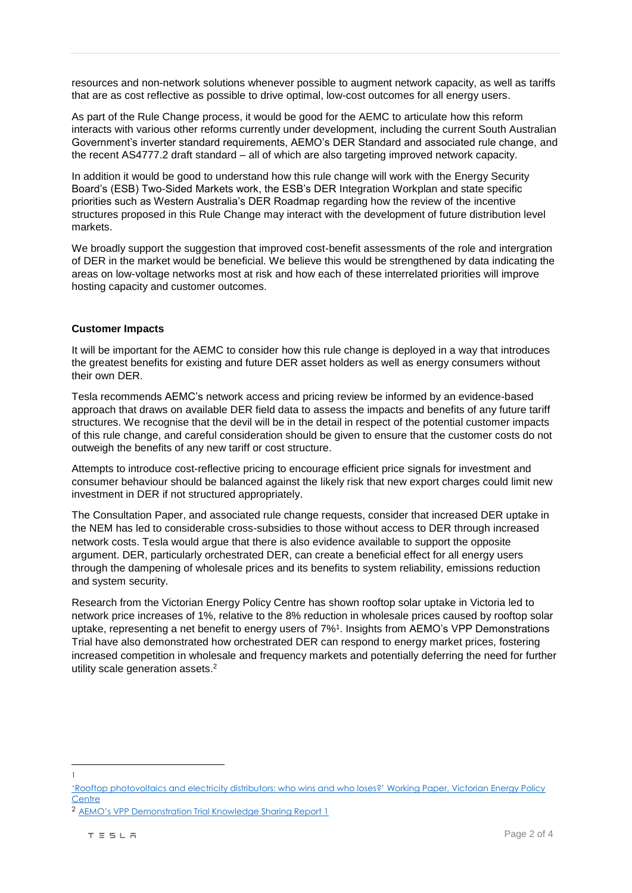resources and non-network solutions whenever possible to augment network capacity, as well as tariffs that are as cost reflective as possible to drive optimal, low-cost outcomes for all energy users.

As part of the Rule Change process, it would be good for the AEMC to articulate how this reform interacts with various other reforms currently under development, including the current South Australian Government's inverter standard requirements, AEMO's DER Standard and associated rule change, and the recent AS4777.2 draft standard – all of which are also targeting improved network capacity.

In addition it would be good to understand how this rule change will work with the Energy Security Board's (ESB) Two-Sided Markets work, the ESB's DER Integration Workplan and state specific priorities such as Western Australia's DER Roadmap regarding how the review of the incentive structures proposed in this Rule Change may interact with the development of future distribution level markets.

We broadly support the suggestion that improved cost-benefit assessments of the role and intergration of DER in the market would be beneficial. We believe this would be strengthened by data indicating the areas on low-voltage networks most at risk and how each of these interrelated priorities will improve hosting capacity and customer outcomes.

## **Customer Impacts**

It will be important for the AEMC to consider how this rule change is deployed in a way that introduces the greatest benefits for existing and future DER asset holders as well as energy consumers without their own DER.

Tesla recommends AEMC's network access and pricing review be informed by an evidence-based approach that draws on available DER field data to assess the impacts and benefits of any future tariff structures. We recognise that the devil will be in the detail in respect of the potential customer impacts of this rule change, and careful consideration should be given to ensure that the customer costs do not outweigh the benefits of any new tariff or cost structure.

Attempts to introduce cost-reflective pricing to encourage efficient price signals for investment and consumer behaviour should be balanced against the likely risk that new export charges could limit new investment in DER if not structured appropriately.

The Consultation Paper, and associated rule change requests, consider that increased DER uptake in the NEM has led to considerable cross-subsidies to those without access to DER through increased network costs. Tesla would argue that there is also evidence available to support the opposite argument. DER, particularly orchestrated DER, can create a beneficial effect for all energy users through the dampening of wholesale prices and its benefits to system reliability, emissions reduction and system security.

Research from the Victorian Energy Policy Centre has shown rooftop solar uptake in Victoria led to network price increases of 1%, relative to the 8% reduction in wholesale prices caused by rooftop solar uptake, representing a net benefit to energy users of 7%<sup>1</sup> . Insights from AEMO's VPP Demonstrations Trial have also demonstrated how orchestrated DER can respond to energy market prices, fostering increased competition in wholesale and frequency markets and potentially deferring the need for further utility scale generation assets.<sup>2</sup>

 $\overline{a}$ 1

[<sup>&#</sup>x27;Rooftop photovoltaics and electricity distributors: who wins and who loses?' Working Paper, Victorian Energy Policy](https://243b2ed8-6648-49fe-80f0-f281c11c3917.filesusr.com/ugd/cb01c4_2155920402f64e74b0f8d70ffd1bd999.pdf)  **[Centre](https://243b2ed8-6648-49fe-80f0-f281c11c3917.filesusr.com/ugd/cb01c4_2155920402f64e74b0f8d70ffd1bd999.pdf)** 

<sup>2</sup> [AEMO's VPP Demonstration Trial Knowledge Sharing Report 1](https://arena.gov.au/assets/2020/03/aemo-virtual-power-plant-demonstration-knowledge-sharing-report-1.pdf)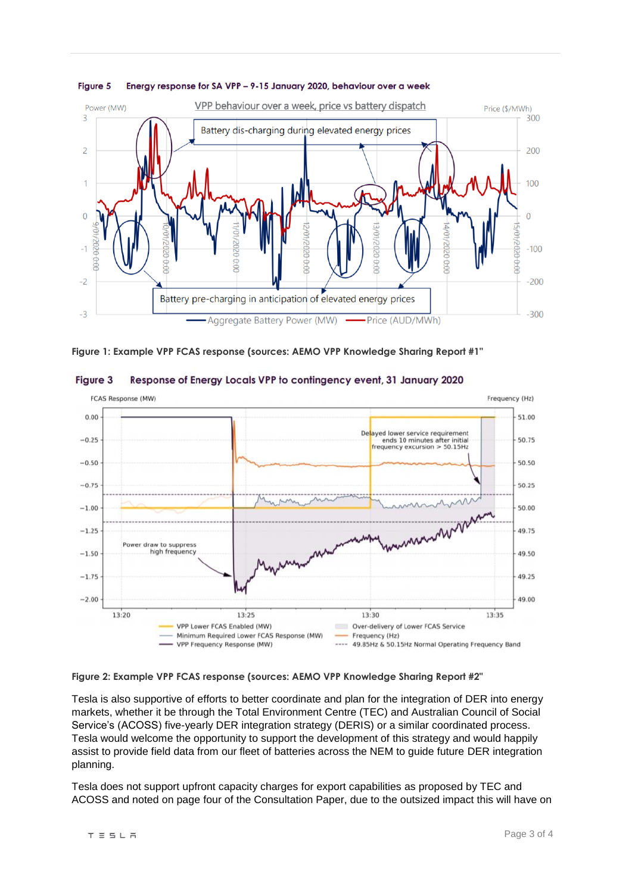

#### Energy response for SA VPP - 9-15 January 2020, behaviour over a week **Figure 5**





**Figure 3** Response of Energy Locals VPP to contingency event, 31 January 2020

**Figure 2: Example VPP FCAS response (sources: AEMO VPP Knowledge Sharing Report #2"**

Tesla is also supportive of efforts to better coordinate and plan for the integration of DER into energy markets, whether it be through the Total Environment Centre (TEC) and Australian Council of Social Service's (ACOSS) five-yearly DER integration strategy (DERIS) or a similar coordinated process. Tesla would welcome the opportunity to support the development of this strategy and would happily assist to provide field data from our fleet of batteries across the NEM to guide future DER integration planning.

Tesla does not support upfront capacity charges for export capabilities as proposed by TEC and ACOSS and noted on page four of the Consultation Paper, due to the outsized impact this will have on